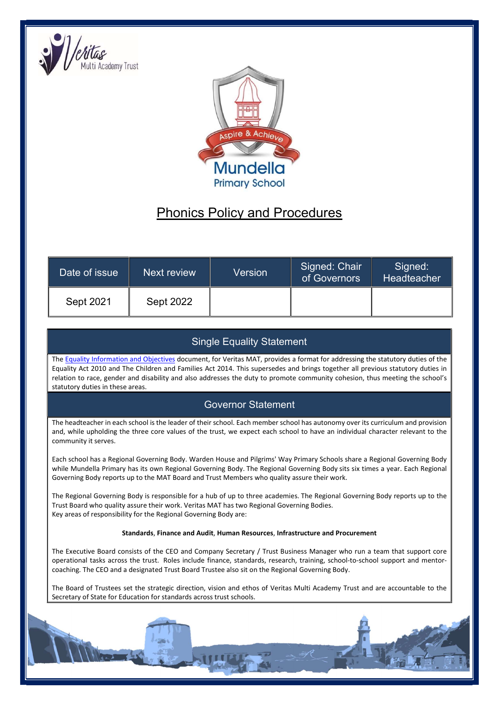



# Phonics Policy and Procedures

| Date of issue | Next review      | Version | Signed: Chair<br>of Governors | Signed:<br>Headteacher |
|---------------|------------------|---------|-------------------------------|------------------------|
| Sept 2021     | <b>Sept 2022</b> |         |                               |                        |

# Single Equality Statement

The Equality Information and Objectives document, for Veritas MAT, provides a format for addressing the statutory duties of the Equality Act 2010 and The Children and Families Act 2014. This supersedes and brings together all previous statutory duties in relation to race, gender and disability and also addresses the duty to promote community cohesion, thus meeting the school's statutory duties in these areas.

# Governor Statement

The headteacher in each school is the leader of their school. Each member school has autonomy over its curriculum and provision and, while upholding the three core values of the trust, we expect each school to have an individual character relevant to the community it serves.

Each school has a Regional Governing Body. Warden House and Pilgrims' Way Primary Schools share a Regional Governing Body while Mundella Primary has its own Regional Governing Body. The Regional Governing Body sits six times a year. Each Regional Governing Body reports up to the MAT Board and Trust Members who quality assure their work.

The Regional Governing Body is responsible for a hub of up to three academies. The Regional Governing Body reports up to the Trust Board who quality assure their work. Veritas MAT has two Regional Governing Bodies. Key areas of responsibility for the Regional Governing Body are:

#### Standards, Finance and Audit, Human Resources, Infrastructure and Procurement

The Executive Board consists of the CEO and Company Secretary / Trust Business Manager who run a team that support core operational tasks across the trust. Roles include finance, standards, research, training, school-to-school support and mentorcoaching. The CEO and a designated Trust Board Trustee also sit on the Regional Governing Body.

The Board of Trustees set the strategic direction, vision and ethos of Veritas Multi Academy Trust and are accountable to the Secretary of State for Education for standards across trust schools.

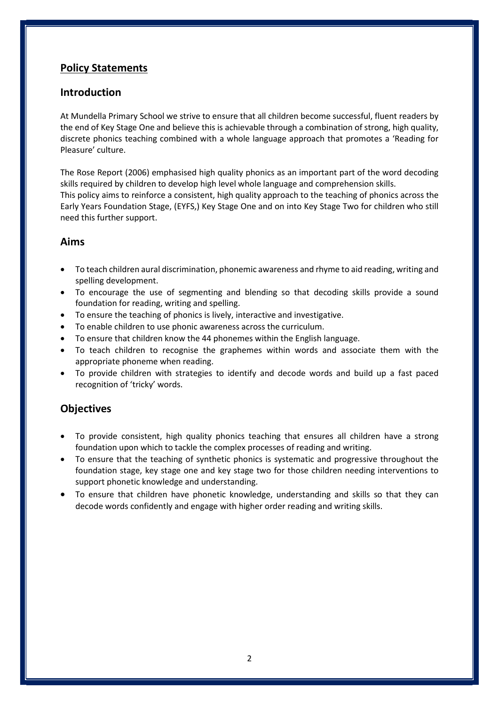# Policy Statements

#### Introduction

At Mundella Primary School we strive to ensure that all children become successful, fluent readers by the end of Key Stage One and believe this is achievable through a combination of strong, high quality, discrete phonics teaching combined with a whole language approach that promotes a 'Reading for Pleasure' culture.

The Rose Report (2006) emphasised high quality phonics as an important part of the word decoding skills required by children to develop high level whole language and comprehension skills. This policy aims to reinforce a consistent, high quality approach to the teaching of phonics across the Early Years Foundation Stage, (EYFS,) Key Stage One and on into Key Stage Two for children who still need this further support.

#### Aims

- To teach children aural discrimination, phonemic awareness and rhyme to aid reading, writing and spelling development.
- To encourage the use of segmenting and blending so that decoding skills provide a sound foundation for reading, writing and spelling.
- To ensure the teaching of phonics is lively, interactive and investigative.
- To enable children to use phonic awareness across the curriculum.
- To ensure that children know the 44 phonemes within the English language.
- To teach children to recognise the graphemes within words and associate them with the appropriate phoneme when reading.
- To provide children with strategies to identify and decode words and build up a fast paced recognition of 'tricky' words.

# **Objectives**

- To provide consistent, high quality phonics teaching that ensures all children have a strong foundation upon which to tackle the complex processes of reading and writing.
- To ensure that the teaching of synthetic phonics is systematic and progressive throughout the foundation stage, key stage one and key stage two for those children needing interventions to support phonetic knowledge and understanding.
- To ensure that children have phonetic knowledge, understanding and skills so that they can decode words confidently and engage with higher order reading and writing skills.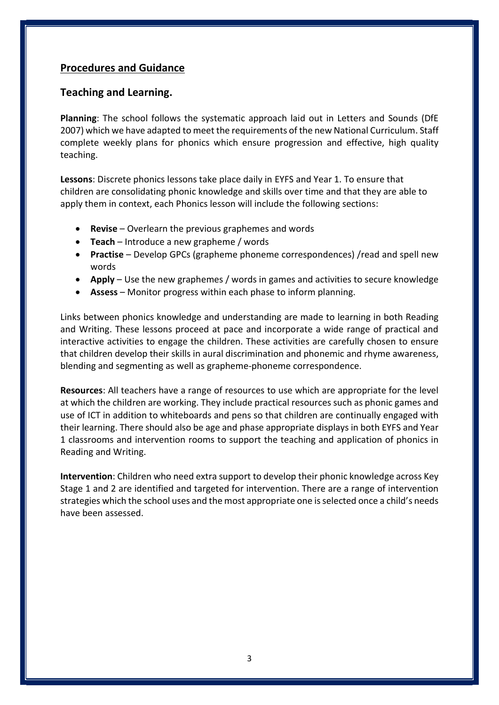# Procedures and Guidance

#### Teaching and Learning.

Planning: The school follows the systematic approach laid out in Letters and Sounds (DfE 2007) which we have adapted to meet the requirements of the new National Curriculum. Staff complete weekly plans for phonics which ensure progression and effective, high quality teaching.

Lessons: Discrete phonics lessons take place daily in EYFS and Year 1. To ensure that children are consolidating phonic knowledge and skills over time and that they are able to apply them in context, each Phonics lesson will include the following sections:

- Revise Overlearn the previous graphemes and words
- Teach Introduce a new grapheme / words
- Practise Develop GPCs (grapheme phoneme correspondences) / read and spell new words
- Apply Use the new graphemes / words in games and activities to secure knowledge
- Assess Monitor progress within each phase to inform planning.

Links between phonics knowledge and understanding are made to learning in both Reading and Writing. These lessons proceed at pace and incorporate a wide range of practical and interactive activities to engage the children. These activities are carefully chosen to ensure that children develop their skills in aural discrimination and phonemic and rhyme awareness, blending and segmenting as well as grapheme-phoneme correspondence.

Resources: All teachers have a range of resources to use which are appropriate for the level at which the children are working. They include practical resources such as phonic games and use of ICT in addition to whiteboards and pens so that children are continually engaged with their learning. There should also be age and phase appropriate displays in both EYFS and Year 1 classrooms and intervention rooms to support the teaching and application of phonics in Reading and Writing.

Intervention: Children who need extra support to develop their phonic knowledge across Key Stage 1 and 2 are identified and targeted for intervention. There are a range of intervention strategies which the school uses and the most appropriate one is selected once a child's needs have been assessed.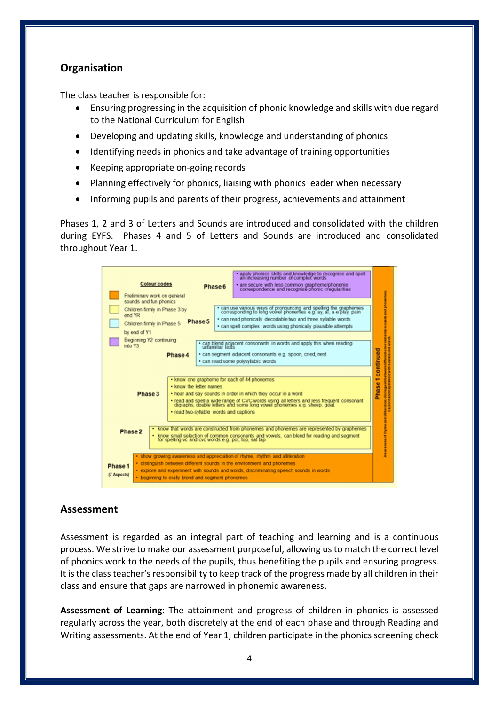# **Organisation**

The class teacher is responsible for:

- Ensuring progressing in the acquisition of phonic knowledge and skills with due regard to the National Curriculum for English
- Developing and updating skills, knowledge and understanding of phonics
- Identifying needs in phonics and take advantage of training opportunities
- Keeping appropriate on-going records
- Planning effectively for phonics, liaising with phonics leader when necessary
- Informing pupils and parents of their progress, achievements and attainment

Phases 1, 2 and 3 of Letters and Sounds are introduced and consolidated with the children during EYFS. Phases 4 and 5 of Letters and Sounds are introduced and consolidated throughout Year 1.



# Assessment

Assessment is regarded as an integral part of teaching and learning and is a continuous process. We strive to make our assessment purposeful, allowing us to match the correct level of phonics work to the needs of the pupils, thus benefiting the pupils and ensuring progress. It is the class teacher's responsibility to keep track of the progress made by all children in their class and ensure that gaps are narrowed in phonemic awareness.

Assessment of Learning: The attainment and progress of children in phonics is assessed regularly across the year, both discretely at the end of each phase and through Reading and Writing assessments. At the end of Year 1, children participate in the phonics screening check